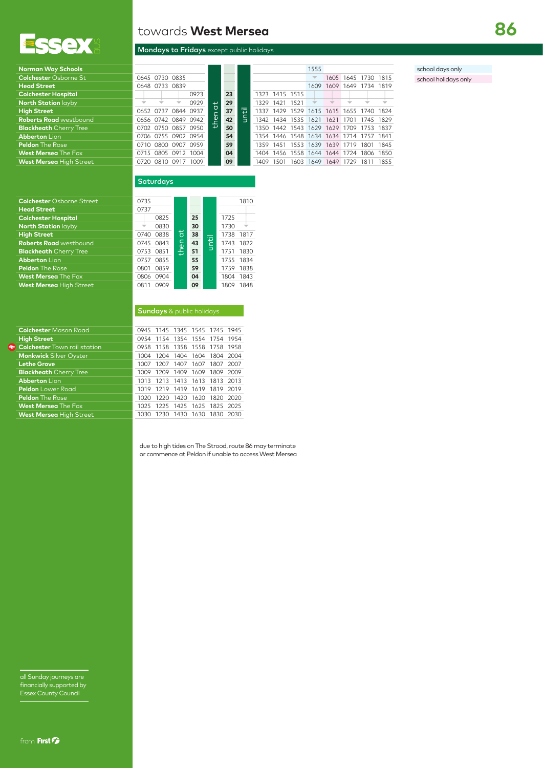

| <b>Norman Way Schools</b>     |
|-------------------------------|
| <b>Colchester Osborne St</b>  |
| <b>Head Street</b>            |
| <b>Colchester Hospital</b>    |
| North Station layby           |
| <b>High Street</b>            |
| <b>Roberts Road</b> westbound |
| <b>Blackheath</b> Cherry Tree |
| <b>Abberton Lion</b>          |
| <b>Peldon</b> The Rose        |
| <b>West Mersea The Fox</b>    |
| West Mersea High Street       |

## **Colchester** Osborne Street 0735

| <b>Colchester</b> Mason Road        |
|-------------------------------------|
| <b>High Street</b>                  |
| <b>Colchester</b> Town rail station |
| <b>Monkwick Silver Oyster</b>       |
| <b>Lethe Grove</b>                  |
| <b>Blackheath</b> Cherry Tree       |
| <b>Abberton Lion</b>                |
| <b>Peldon</b> Lower Road            |
| <b>Peldon</b> The Rose              |
| <b>West Mersea The Fox</b>          |
| <b>West Mersea</b> High Street      |
|                                     |

towards **West Mersea**

## Mondays to Fridays except public holidays

| Norman Way Schools             |      |                     |                     |            |    |   |           |                |      | 1555                                    |  |                     |      |
|--------------------------------|------|---------------------|---------------------|------------|----|---|-----------|----------------|------|-----------------------------------------|--|---------------------|------|
| <b>Colchester Osborne St</b>   |      | 0645 0730 0835      |                     |            |    |   |           |                |      | $\overline{\phantom{a}}$                |  | 1605 1645 1730 1815 |      |
| <b>Head Street</b>             |      | 0648 0733 0839      |                     |            |    |   |           |                |      | 1609                                    |  | 1609 1649 1734 1819 |      |
| <b>Colchester Hospital</b>     |      |                     | 0923                |            | 23 |   |           | 1323 1415 1515 |      |                                         |  |                     |      |
| <b>North Station layby</b>     |      |                     | 0929                | ₽          | 29 |   | 1329      | 1421           | 1521 |                                         |  |                     |      |
| <b>High Street</b>             |      | 0652 0737 0844 0937 |                     |            | 37 | 電 |           |                |      | 1337 1429 1529 1615 1615 1655 1740 1824 |  |                     |      |
| <b>Roberts Road</b> westbound  |      | 0656 0742 0849 0942 |                     | led.<br>th | 42 |   |           |                |      | 1342 1434 1535 1621 1621 1701           |  | 1745 1829           |      |
| <b>Blackheath</b> Cherry Tree  |      |                     | 0702 0750 0857 0950 |            | 50 |   |           |                |      | 1350 1442 1543 1629 1629 1709 1753 1837 |  |                     |      |
| <b>Abberton Lion</b>           |      | 0706 0755 0902 0954 |                     |            | 54 |   |           |                |      | 1354 1446 1548 1634 1634 1714 1757 1841 |  |                     |      |
| <b>Peldon</b> The Rose         | 0710 | 0800 0907 0959      |                     |            | 59 |   | 1359 1451 |                |      | 1553 1639 1639 1719                     |  | 1801                | 1845 |
| <b>West Mersea</b> The Fox     |      | 0715 0805 0912 1004 |                     |            | 04 |   | 1404      | 1456           |      | 1558 1644 1644 1724                     |  | 1806 1850           |      |
| <b>West Mersea</b> Hiah Street |      | 0720 0810 0917      | 1009                |            | 09 |   | 1409      | 1501           |      | 1603 1649 1649 1729                     |  | 1811                | 1855 |

school days only

school holidays only

from First *D* 

all Sunday journeys are financially supported by Essex County Council

| <b>Colchester</b> Osborne Street | 0735         |      |    |              |      | 1810 |
|----------------------------------|--------------|------|----|--------------|------|------|
| <b>Head Street</b>               | 0737         |      |    |              |      |      |
| <b>Colchester Hospital</b>       | 0825         |      | 25 |              | 1725 |      |
| <b>North Station layby</b>       | 0830         |      | 30 |              | 1730 |      |
| <b>High Street</b>               | 0838<br>0740 | 귕    | 38 |              | 1738 | 1817 |
| <b>Roberts Road</b> westbound    | 0843<br>0745 |      | 43 | <u>until</u> | 1743 | 1822 |
| <b>Blackheath</b> Cherry Tree    | 0851<br>0753 | then | 51 |              | 1751 | 1830 |
| <b>Abberton Lion</b>             | 0855<br>0757 |      | 55 |              | 1755 | 1834 |
| <b>Peldon</b> The Rose           | 0859<br>0801 |      | 59 |              | 1759 | 1838 |
| <b>West Mersea</b> The Fox       | 0904<br>0806 |      | 04 |              | 1804 | 1843 |
| <b>West Mersea High Street</b>   | 0909<br>0811 |      | 09 |              | 1809 | 1848 |
|                                  |              |      |    |              |      |      |
|                                  |              |      |    |              |      |      |

**Saturdays** 

|                                     | <b>Sundays</b> & public holidays |                |  |                               |      |      |  |  |
|-------------------------------------|----------------------------------|----------------|--|-------------------------------|------|------|--|--|
|                                     |                                  |                |  |                               |      |      |  |  |
| <b>Colchester</b> Mason Road        |                                  |                |  | 0945 1145 1345 1545 1745 1945 |      |      |  |  |
| <b>High Street</b>                  |                                  |                |  | 0954 1154 1354 1554 1754 1954 |      |      |  |  |
| <b>Colchester</b> Town rail station |                                  |                |  | 0958 1158 1358 1558 1758 1958 |      |      |  |  |
| <b>Monkwick Silver Oyster</b>       |                                  |                |  | 1004 1204 1404 1604 1804 2004 |      |      |  |  |
| <b>Lethe Grove</b>                  | 1007                             |                |  | 1207 1407 1607 1807 2007      |      |      |  |  |
| <b>Blackheath Cherry Tree</b>       | 1009                             |                |  | 1209 1409 1609 1809 2009      |      |      |  |  |
| <b>Abberton Lion</b>                | 1013                             |                |  | 1213 1413 1613 1813 2013      |      |      |  |  |
| <b>Peldon</b> Lower Road            | 1019                             | 1219 1419 1619 |  |                               | 1819 | 2019 |  |  |
| <b>Peldon</b> The Rose              | 1020                             |                |  | 1220 1420 1620 1820 2020      |      |      |  |  |
| <b>West Mersea The Fox</b>          |                                  |                |  | 1025 1225 1425 1625 1825 2025 |      |      |  |  |
| <b>West Mersea High Street</b>      | 1030                             |                |  | 1230 1430 1630 1830 2030      |      |      |  |  |

due to high tides on The Strood, route 86 may terminate or commence at Peldon if unable to access West Mersea